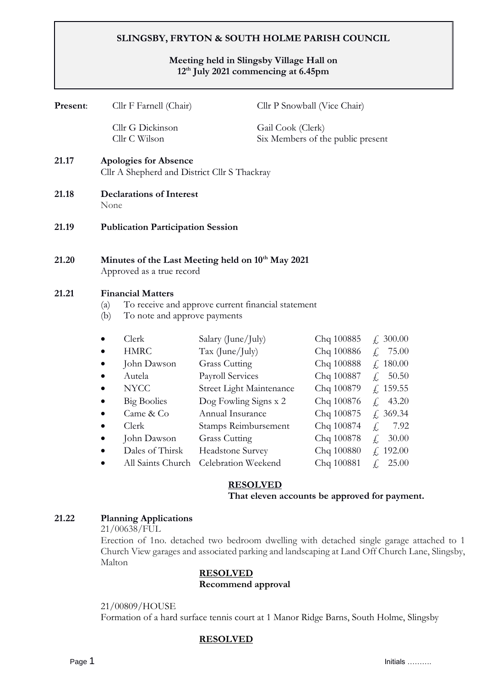# **SLINGSBY, FRYTON & SOUTH HOLME PARISH COUNCIL**

# **Meeting held in Slingsby Village Hall on 12th July 2021 commencing at 6.45pm**

| Cllr F Farnell (Chair)                                                                     |                                                                                                                                                                 | Cllr P Snowball (Vice Chair)                 |                                                        |                                                                                                                                                                                                              |                                                                                                                                                                                     |
|--------------------------------------------------------------------------------------------|-----------------------------------------------------------------------------------------------------------------------------------------------------------------|----------------------------------------------|--------------------------------------------------------|--------------------------------------------------------------------------------------------------------------------------------------------------------------------------------------------------------------|-------------------------------------------------------------------------------------------------------------------------------------------------------------------------------------|
|                                                                                            | Cllr G Dickinson<br>Cllr C Wilson                                                                                                                               |                                              | Gail Cook (Clerk)<br>Six Members of the public present |                                                                                                                                                                                                              |                                                                                                                                                                                     |
| <b>Apologies for Absence</b><br>Cllr A Shepherd and District Cllr S Thackray               |                                                                                                                                                                 |                                              |                                                        |                                                                                                                                                                                                              |                                                                                                                                                                                     |
| <b>Declarations of Interest</b><br>None                                                    |                                                                                                                                                                 |                                              |                                                        |                                                                                                                                                                                                              |                                                                                                                                                                                     |
| <b>Publication Participation Session</b>                                                   |                                                                                                                                                                 |                                              |                                                        |                                                                                                                                                                                                              |                                                                                                                                                                                     |
| Minutes of the Last Meeting held on 10 <sup>th</sup> May 2021<br>Approved as a true record |                                                                                                                                                                 |                                              |                                                        |                                                                                                                                                                                                              |                                                                                                                                                                                     |
| (a)<br>(b)                                                                                 | <b>Financial Matters</b><br>To receive and approve current financial statement<br>To note and approve payments                                                  |                                              |                                                        |                                                                                                                                                                                                              |                                                                                                                                                                                     |
| $\bullet$<br>$\bullet$<br>$\bullet$                                                        | Clerk<br><b>HMRC</b><br>John Dawson<br>Autela<br><b>NYCC</b><br><b>Big Boolies</b><br>Came & Co<br>Clerk<br>John Dawson<br>Dales of Thirsk<br>All Saints Church | <b>Grass Cutting</b><br><b>Grass Cutting</b> |                                                        | Chq 100885<br>Chq 100886<br>Chq 100888<br>Chq 100887<br>Chq 100879<br>Chq 100876<br>Chq 100875<br>Chq 100874<br>Chq 100878<br>Chq 100880                                                                     | f, 300.00<br>f, 75.00<br>f, 180.00<br>$f_{n}$<br>50.50<br>f, 159.55<br>43.20<br>$f_{\rm c}$<br>f, 369.34<br>$\int_{\mathcal{L}}$<br>7.92<br>£,<br>30.00<br>f. 192.00<br>£,<br>25.00 |
|                                                                                            |                                                                                                                                                                 |                                              |                                                        | Salary (June/July)<br>Tax (June/July)<br><b>Payroll Services</b><br>Street Light Maintenance<br>Dog Fowling Signs x 2<br>Annual Insurance<br>Stamps Reimbursement<br>Headstone Survey<br>Celebration Weekend | Chq 100881                                                                                                                                                                          |

# **RESOLVED**

#### **That eleven accounts be approved for payment.**

#### **21.22 Planning Applications**

21/00638/FUL

Erection of 1no. detached two bedroom dwelling with detached single garage attached to 1 Church View garages and associated parking and landscaping at Land Off Church Lane, Slingsby, Malton

# **RESOLVED Recommend approval**

#### 21/00809/HOUSE

Formation of a hard surface tennis court at 1 Manor Ridge Barns, South Holme, Slingsby

# **RESOLVED**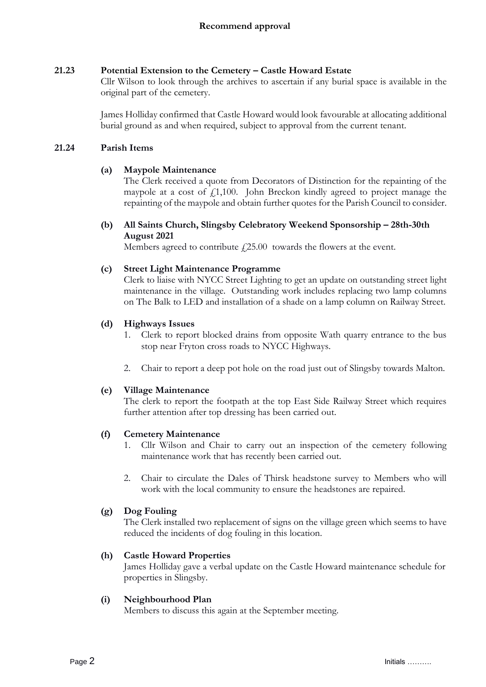# **21.23 Potential Extension to the Cemetery – Castle Howard Estate**

Cllr Wilson to look through the archives to ascertain if any burial space is available in the original part of the cemetery.

James Holliday confirmed that Castle Howard would look favourable at allocating additional burial ground as and when required, subject to approval from the current tenant.

# **21.24 Parish Items**

# **(a) Maypole Maintenance**

The Clerk received a quote from Decorators of Distinction for the repainting of the maypole at a cost of  $f1,100$ . John Breckon kindly agreed to project manage the repainting of the maypole and obtain further quotes for the Parish Council to consider.

**(b) All Saints Church, Slingsby Celebratory Weekend Sponsorship – 28th-30th August 2021**

Members agreed to contribute  $\dot{\ell}$  25.00 towards the flowers at the event.

# **(c) Street Light Maintenance Programme**

Clerk to liaise with NYCC Street Lighting to get an update on outstanding street light maintenance in the village. Outstanding work includes replacing two lamp columns on The Balk to LED and installation of a shade on a lamp column on Railway Street.

# **(d) Highways Issues**

- 1. Clerk to report blocked drains from opposite Wath quarry entrance to the bus stop near Fryton cross roads to NYCC Highways.
- 2. Chair to report a deep pot hole on the road just out of Slingsby towards Malton.

### **(e) Village Maintenance**

The clerk to report the footpath at the top East Side Railway Street which requires further attention after top dressing has been carried out.

### **(f) Cemetery Maintenance**

- 1. Cllr Wilson and Chair to carry out an inspection of the cemetery following maintenance work that has recently been carried out.
- 2. Chair to circulate the Dales of Thirsk headstone survey to Members who will work with the local community to ensure the headstones are repaired.

### **(g) Dog Fouling**

The Clerk installed two replacement of signs on the village green which seems to have reduced the incidents of dog fouling in this location.

### **(h) Castle Howard Properties**

James Holliday gave a verbal update on the Castle Howard maintenance schedule for properties in Slingsby.

### **(i) Neighbourhood Plan**

Members to discuss this again at the September meeting.